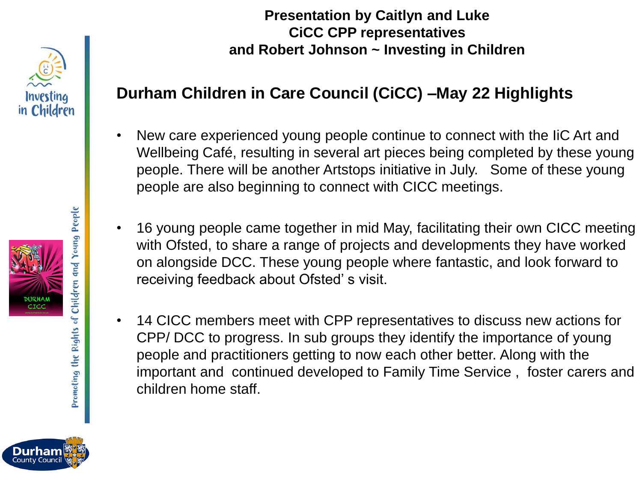

**Presentation by Caitlyn and Luke CiCC CPP representatives and Robert Johnson ~ Investing in Children**

## **Durham Children in Care Council (CiCC) –May 22 Highlights**

- New care experienced young people continue to connect with the IiC Art and Wellbeing Café, resulting in several art pieces being completed by these young people. There will be another Artstops initiative in July. Some of these young people are also beginning to connect with CICC meetings.
- 16 young people came together in mid May, facilitating their own CICC meeting with Ofsted, to share a range of projects and developments they have worked on alongside DCC. These young people where fantastic, and look forward to receiving feedback about Ofsted' s visit.
- 14 CICC members meet with CPP representatives to discuss new actions for CPP/ DCC to progress. In sub groups they identify the importance of young people and practitioners getting to now each other better. Along with the important and continued developed to Family Time Service , foster carers and children home staff.

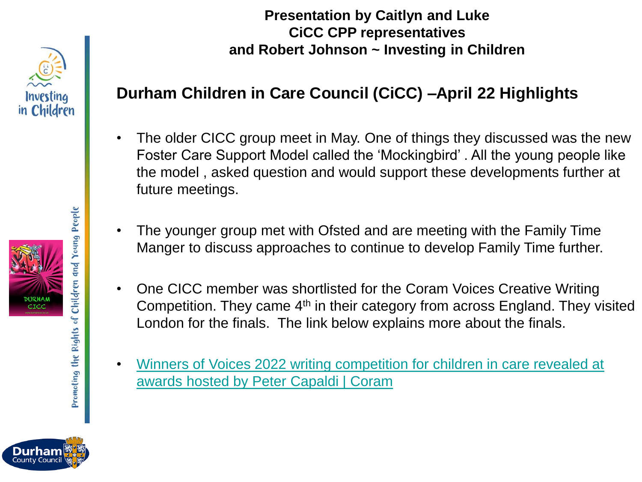

## **Durham Children in Care Council (CiCC) –April 22 Highlights**

- The older CICC group meet in May. One of things they discussed was the new Foster Care Support Model called the 'Mockingbird' . All the young people like the model , asked question and would support these developments further at future meetings.
- The younger group met with Ofsted and are meeting with the Family Time Manger to discuss approaches to continue to develop Family Time further.
- One CICC member was shortlisted for the Coram Voices Creative Writing Competition. They came 4<sup>th</sup> in their category from across England. They visited London for the finals. The link below explains more about the finals.
- [Winners of Voices 2022 writing competition for children in care revealed at](https://www.coram.org.uk/news/winners-voices-2022-writing-competition-children-care-revealed-awards-hosted-peter-capaldi)  awards hosted by Peter Capaldi | Coram